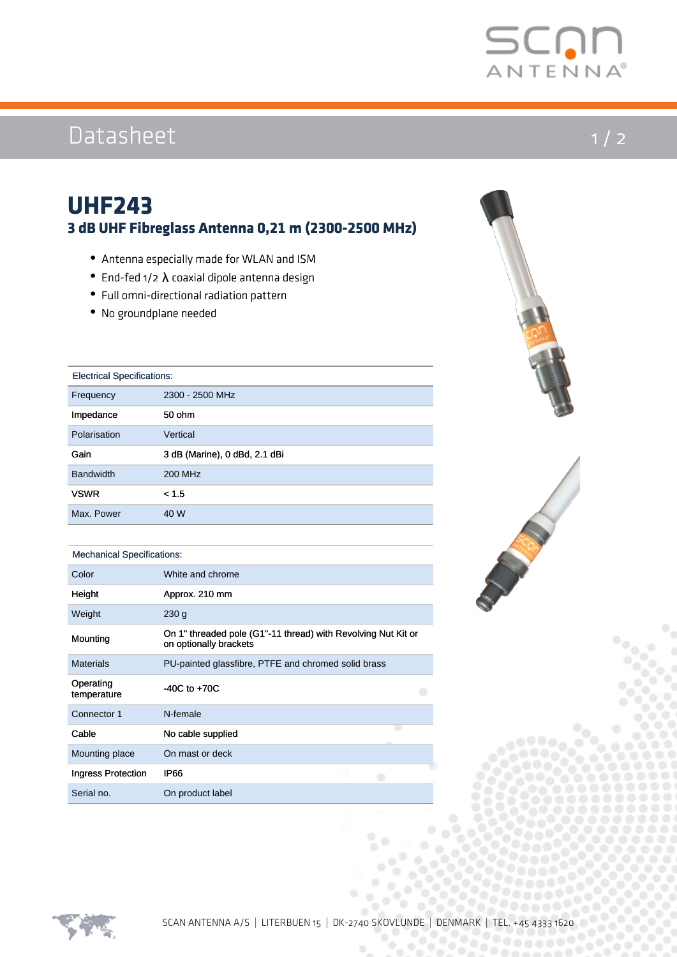

# Datasheet

### $1 / 2$

### **UHF243 3 dB UHF Fibreglass Antenna 0,21 m (2300-2500 MHz)**

- Antenna especially made for WLAN and ISM
- End-fed  $1/2$   $\lambda$  coaxial dipole antenna design
- Full omni-directional radiation pattern
- No groundplane needed

| <b>Electrical Specifications:</b> |
|-----------------------------------|
|-----------------------------------|

| Frequency        | 2300 - 2500 MHz               |
|------------------|-------------------------------|
| Impedance        | 50 ohm                        |
| Polarisation     | Vertical                      |
| Gain             | 3 dB (Marine), 0 dBd, 2.1 dBi |
| <b>Bandwidth</b> | 200 MHz                       |
| <b>VSWR</b>      | < 1.5                         |
| Max. Power       | 40 W                          |

#### Mechanical Specifications:

| Color                    | White and chrome                                                                        |
|--------------------------|-----------------------------------------------------------------------------------------|
| Height                   | Approx. 210 mm                                                                          |
| Weight                   | 230q                                                                                    |
| Mounting                 | On 1" threaded pole (G1"-11 thread) with Revolving Nut Kit or<br>on optionally brackets |
| <b>Materials</b>         | PU-painted glassfibre, PTFE and chromed solid brass                                     |
| Operating<br>temperature | $-40C$ to $+70C$                                                                        |
| Connector 1              | N-female                                                                                |
| Cable                    | No cable supplied                                                                       |
| Mounting place           | On mast or deck                                                                         |
| Ingress Protection       | IP66                                                                                    |
| Serial no.               | On product label                                                                        |



.....